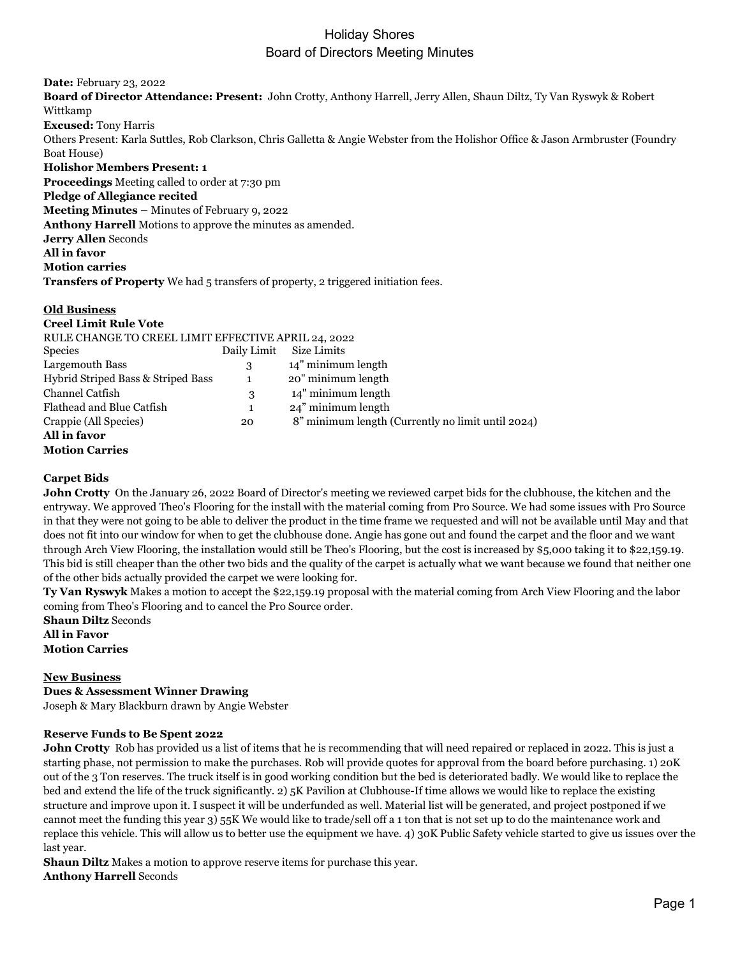**Date:** February 23, 2022 **Board of Director Attendance: Present:** John Crotty, Anthony Harrell, Jerry Allen, Shaun Diltz, Ty Van Ryswyk & Robert Wittkamp **Excused:** Tony Harris Others Present: Karla Suttles, Rob Clarkson, Chris Galletta & Angie Webster from the Holishor Office & Jason Armbruster (Foundry Boat House) **Holishor Members Present: 1 Proceedings** Meeting called to order at 7:30 pm **Pledge of Allegiance recited Meeting Minutes –** Minutes of February 9, 2022 **Anthony Harrell** Motions to approve the minutes as amended. **Jerry Allen** Seconds **All in favor Motion carries Transfers of Property** We had 5 transfers of property, 2 triggered initiation fees.

#### **Old Business**

| <b>Creel Limit Rule Vote</b>                        |             |                                                   |
|-----------------------------------------------------|-------------|---------------------------------------------------|
| RULE CHANGE TO CREEL LIMIT EFFECTIVE APRIL 24, 2022 |             |                                                   |
| <b>Species</b>                                      | Daily Limit | Size Limits                                       |
| Largemouth Bass                                     | 3           | 14" minimum length                                |
| Hybrid Striped Bass & Striped Bass                  | 1           | 20" minimum length                                |
| Channel Catfish                                     | 3           | 14" minimum length                                |
| Flathead and Blue Catfish                           | 1           | 24" minimum length                                |
| Crappie (All Species)                               | 20          | 8" minimum length (Currently no limit until 2024) |
| All in favor                                        |             |                                                   |
| <b>Motion Carries</b>                               |             |                                                   |

#### **Carpet Bids**

**John Crotty** On the January 26, 2022 Board of Director's meeting we reviewed carpet bids for the clubhouse, the kitchen and the entryway. We approved Theo's Flooring for the install with the material coming from Pro Source. We had some issues with Pro Source in that they were not going to be able to deliver the product in the time frame we requested and will not be available until May and that does not fit into our window for when to get the clubhouse done. Angie has gone out and found the carpet and the floor and we want through Arch View Flooring, the installation would still be Theo's Flooring, but the cost is increased by \$5,000 taking it to \$22,159.19. This bid is still cheaper than the other two bids and the quality of the carpet is actually what we want because we found that neither one of the other bids actually provided the carpet we were looking for.

**Ty Van Ryswyk** Makes a motion to accept the \$22,159.19 proposal with the material coming from Arch View Flooring and the labor coming from Theo's Flooring and to cancel the Pro Source order.

**Shaun Diltz** Seconds **All in Favor Motion Carries**

#### **New Business**

**Dues & Assessment Winner Drawing**

Joseph & Mary Blackburn drawn by Angie Webster

#### **Reserve Funds to Be Spent 2022**

**John Crotty** Rob has provided us a list of items that he is recommending that will need repaired or replaced in 2022. This is just a starting phase, not permission to make the purchases. Rob will provide quotes for approval from the board before purchasing. 1) 20K out of the 3 Ton reserves. The truck itself is in good working condition but the bed is deteriorated badly. We would like to replace the bed and extend the life of the truck significantly. 2) 5K Pavilion at Clubhouse-If time allows we would like to replace the existing structure and improve upon it. I suspect it will be underfunded as well. Material list will be generated, and project postponed if we cannot meet the funding this year 3) 55K We would like to trade/sell off a 1 ton that is not set up to do the maintenance work and replace this vehicle. This will allow us to better use the equipment we have. 4) 30K Public Safety vehicle started to give us issues over the last year.

**Shaun Diltz** Makes a motion to approve reserve items for purchase this year. **Anthony Harrell** Seconds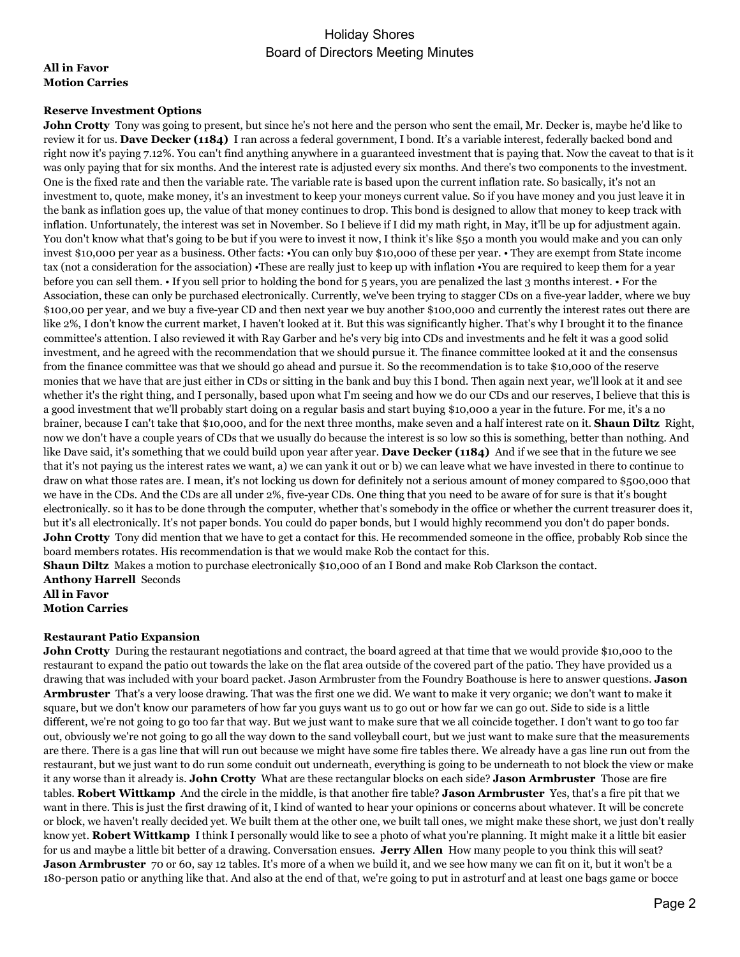#### **All in Favor Motion Carries**

#### **Reserve Investment Options**

**John Crotty** Tony was going to present, but since he's not here and the person who sent the email, Mr. Decker is, maybe he'd like to review it for us. **Dave Decker (1184)** I ran across a federal government, I bond. It's a variable interest, federally backed bond and right now it's paying 7.12%. You can't find anything anywhere in a guaranteed investment that is paying that. Now the caveat to that is it was only paying that for six months. And the interest rate is adjusted every six months. And there's two components to the investment. One is the fixed rate and then the variable rate. The variable rate is based upon the current inflation rate. So basically, it's not an investment to, quote, make money, it's an investment to keep your moneys current value. So if you have money and you just leave it in the bank as inflation goes up, the value of that money continues to drop. This bond is designed to allow that money to keep track with inflation. Unfortunately, the interest was set in November. So I believe if I did my math right, in May, it'll be up for adjustment again. You don't know what that's going to be but if you were to invest it now, I think it's like \$50 a month you would make and you can only invest \$10,000 per year as a business. Other facts: •You can only buy \$10,000 of these per year. • They are exempt from State income tax (not a consideration for the association) •These are really just to keep up with inflation •You are required to keep them for a year before you can sell them. • If you sell prior to holding the bond for 5 years, you are penalized the last 3 months interest. • For the Association, these can only be purchased electronically. Currently, we've been trying to stagger CDs on a five-year ladder, where we buy \$100,00 per year, and we buy a five-year CD and then next year we buy another \$100,000 and currently the interest rates out there are like 2%, I don't know the current market, I haven't looked at it. But this was significantly higher. That's why I brought it to the finance committee's attention. I also reviewed it with Ray Garber and he's very big into CDs and investments and he felt it was a good solid investment, and he agreed with the recommendation that we should pursue it. The finance committee looked at it and the consensus from the finance committee was that we should go ahead and pursue it. So the recommendation is to take \$10,000 of the reserve monies that we have that are just either in CDs or sitting in the bank and buy this I bond. Then again next year, we'll look at it and see whether it's the right thing, and I personally, based upon what I'm seeing and how we do our CDs and our reserves, I believe that this is a good investment that we'll probably start doing on a regular basis and start buying \$10,000 a year in the future. For me, it's a no brainer, because I can't take that \$10,000, and for the next three months, make seven and a half interest rate on it. **Shaun Diltz** Right, now we don't have a couple years of CDs that we usually do because the interest is so low so this is something, better than nothing. And like Dave said, it's something that we could build upon year after year. **Dave Decker (1184)** And if we see that in the future we see that it's not paying us the interest rates we want, a) we can yank it out or b) we can leave what we have invested in there to continue to draw on what those rates are. I mean, it's not locking us down for definitely not a serious amount of money compared to \$500,000 that we have in the CDs. And the CDs are all under 2%, five-year CDs. One thing that you need to be aware of for sure is that it's bought electronically. so it has to be done through the computer, whether that's somebody in the office or whether the current treasurer does it, but it's all electronically. It's not paper bonds. You could do paper bonds, but I would highly recommend you don't do paper bonds. **John Crotty** Tony did mention that we have to get a contact for this. He recommended someone in the office, probably Rob since the board members rotates. His recommendation is that we would make Rob the contact for this.

**Shaun Diltz** Makes a motion to purchase electronically \$10,000 of an I Bond and make Rob Clarkson the contact. **Anthony Harrell** Seconds **All in Favor**

**Motion Carries**

#### **Restaurant Patio Expansion**

**John Crotty** During the restaurant negotiations and contract, the board agreed at that time that we would provide \$10,000 to the restaurant to expand the patio out towards the lake on the flat area outside of the covered part of the patio. They have provided us a drawing that was included with your board packet. Jason Armbruster from the Foundry Boathouse is here to answer questions. **Jason Armbruster** That's a very loose drawing. That was the first one we did. We want to make it very organic; we don't want to make it square, but we don't know our parameters of how far you guys want us to go out or how far we can go out. Side to side is a little different, we're not going to go too far that way. But we just want to make sure that we all coincide together. I don't want to go too far out, obviously we're not going to go all the way down to the sand volleyball court, but we just want to make sure that the measurements are there. There is a gas line that will run out because we might have some fire tables there. We already have a gas line run out from the restaurant, but we just want to do run some conduit out underneath, everything is going to be underneath to not block the view or make it any worse than it already is. **John Crotty** What are these rectangular blocks on each side? **Jason Armbruster** Those are fire tables. **Robert Wittkamp** And the circle in the middle, is that another fire table? **Jason Armbruster** Yes, that's a fire pit that we want in there. This is just the first drawing of it, I kind of wanted to hear your opinions or concerns about whatever. It will be concrete or block, we haven't really decided yet. We built them at the other one, we built tall ones, we might make these short, we just don't really know yet. **Robert Wittkamp** I think I personally would like to see a photo of what you're planning. It might make it a little bit easier for us and maybe a little bit better of a drawing. Conversation ensues. **Jerry Allen** How many people to you think this will seat? **Jason Armbruster** 70 or 60, say 12 tables. It's more of a when we build it, and we see how many we can fit on it, but it won't be a 180-person patio or anything like that. And also at the end of that, we're going to put in astroturf and at least one bags game or bocce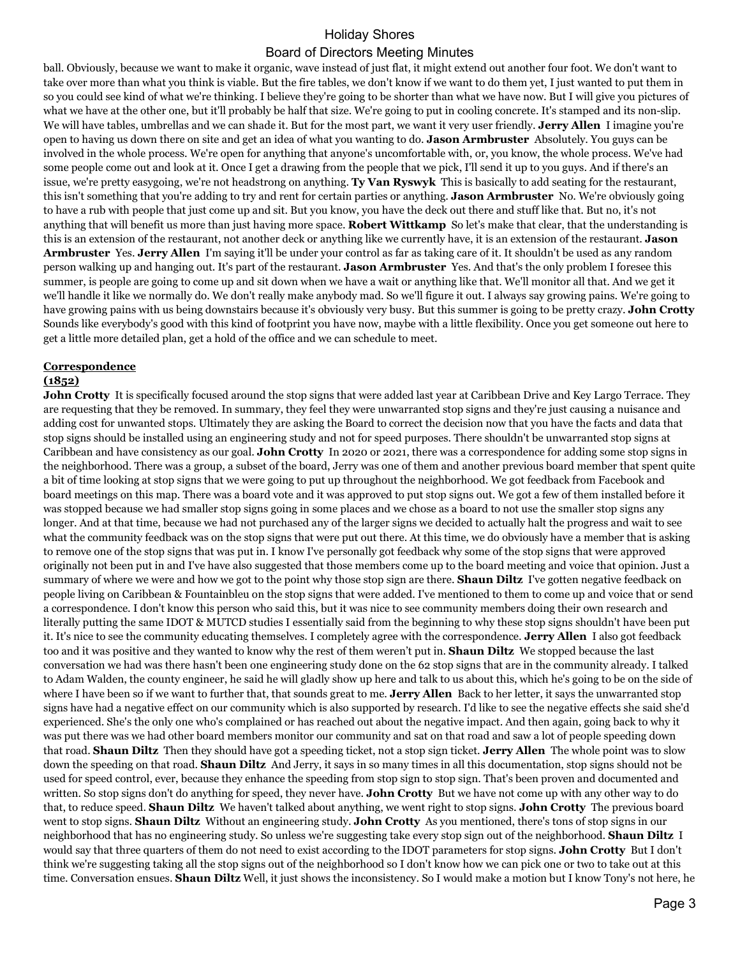ball. Obviously, because we want to make it organic, wave instead of just flat, it might extend out another four foot. We don't want to take over more than what you think is viable. But the fire tables, we don't know if we want to do them yet, I just wanted to put them in so you could see kind of what we're thinking. I believe they're going to be shorter than what we have now. But I will give you pictures of what we have at the other one, but it'll probably be half that size. We're going to put in cooling concrete. It's stamped and its non-slip. We will have tables, umbrellas and we can shade it. But for the most part, we want it very user friendly. **Jerry Allen** I imagine you're open to having us down there on site and get an idea of what you wanting to do. **Jason Armbruster** Absolutely. You guys can be involved in the whole process. We're open for anything that anyone's uncomfortable with, or, you know, the whole process. We've had some people come out and look at it. Once I get a drawing from the people that we pick, I'll send it up to you guys. And if there's an issue, we're pretty easygoing, we're not headstrong on anything. **Ty Van Ryswyk** This is basically to add seating for the restaurant, this isn't something that you're adding to try and rent for certain parties or anything. **Jason Armbruster** No. We're obviously going to have a rub with people that just come up and sit. But you know, you have the deck out there and stuff like that. But no, it's not anything that will benefit us more than just having more space. **Robert Wittkamp** So let's make that clear, that the understanding is this is an extension of the restaurant, not another deck or anything like we currently have, it is an extension of the restaurant. **Jason Armbruster** Yes. **Jerry Allen** I'm saying it'll be under your control as far as taking care of it. It shouldn't be used as any random person walking up and hanging out. It's part of the restaurant. **Jason Armbruster** Yes. And that's the only problem I foresee this summer, is people are going to come up and sit down when we have a wait or anything like that. We'll monitor all that. And we get it we'll handle it like we normally do. We don't really make anybody mad. So we'll figure it out. I always say growing pains. We're going to have growing pains with us being downstairs because it's obviously very busy. But this summer is going to be pretty crazy. **John Crotty** Sounds like everybody's good with this kind of footprint you have now, maybe with a little flexibility. Once you get someone out here to get a little more detailed plan, get a hold of the office and we can schedule to meet.

# **Correspondence**

#### **(1852)**

**John Crotty** It is specifically focused around the stop signs that were added last year at Caribbean Drive and Key Largo Terrace. They are requesting that they be removed. In summary, they feel they were unwarranted stop signs and they're just causing a nuisance and adding cost for unwanted stops. Ultimately they are asking the Board to correct the decision now that you have the facts and data that stop signs should be installed using an engineering study and not for speed purposes. There shouldn't be unwarranted stop signs at Caribbean and have consistency as our goal. **John Crotty** In 2020 or 2021, there was a correspondence for adding some stop signs in the neighborhood. There was a group, a subset of the board, Jerry was one of them and another previous board member that spent quite a bit of time looking at stop signs that we were going to put up throughout the neighborhood. We got feedback from Facebook and board meetings on this map. There was a board vote and it was approved to put stop signs out. We got a few of them installed before it was stopped because we had smaller stop signs going in some places and we chose as a board to not use the smaller stop signs any longer. And at that time, because we had not purchased any of the larger signs we decided to actually halt the progress and wait to see what the community feedback was on the stop signs that were put out there. At this time, we do obviously have a member that is asking to remove one of the stop signs that was put in. I know I've personally got feedback why some of the stop signs that were approved originally not been put in and I've have also suggested that those members come up to the board meeting and voice that opinion. Just a summary of where we were and how we got to the point why those stop sign are there. **Shaun Diltz** I've gotten negative feedback on people living on Caribbean & Fountainbleu on the stop signs that were added. I've mentioned to them to come up and voice that or send a correspondence. I don't know this person who said this, but it was nice to see community members doing their own research and literally putting the same IDOT & MUTCD studies I essentially said from the beginning to why these stop signs shouldn't have been put it. It's nice to see the community educating themselves. I completely agree with the correspondence. **Jerry Allen** I also got feedback too and it was positive and they wanted to know why the rest of them weren't put in. **Shaun Diltz** We stopped because the last conversation we had was there hasn't been one engineering study done on the 62 stop signs that are in the community already. I talked to Adam Walden, the county engineer, he said he will gladly show up here and talk to us about this, which he's going to be on the side of where I have been so if we want to further that, that sounds great to me. **Jerry Allen** Back to her letter, it says the unwarranted stop signs have had a negative effect on our community which is also supported by research. I'd like to see the negative effects she said she'd experienced. She's the only one who's complained or has reached out about the negative impact. And then again, going back to why it was put there was we had other board members monitor our community and sat on that road and saw a lot of people speeding down that road. **Shaun Diltz** Then they should have got a speeding ticket, not a stop sign ticket. **Jerry Allen** The whole point was to slow down the speeding on that road. **Shaun Diltz** And Jerry, it says in so many times in all this documentation, stop signs should not be used for speed control, ever, because they enhance the speeding from stop sign to stop sign. That's been proven and documented and written. So stop signs don't do anything for speed, they never have. **John Crotty** But we have not come up with any other way to do that, to reduce speed. **Shaun Diltz** We haven't talked about anything, we went right to stop signs. **John Crotty** The previous board went to stop signs. **Shaun Diltz** Without an engineering study. **John Crotty** As you mentioned, there's tons of stop signs in our neighborhood that has no engineering study. So unless we're suggesting take every stop sign out of the neighborhood. **Shaun Diltz** I would say that three quarters of them do not need to exist according to the IDOT parameters for stop signs. **John Crotty** But I don't think we're suggesting taking all the stop signs out of the neighborhood so I don't know how we can pick one or two to take out at this time. Conversation ensues. **Shaun Diltz** Well, it just shows the inconsistency. So I would make a motion but I know Tony's not here, he